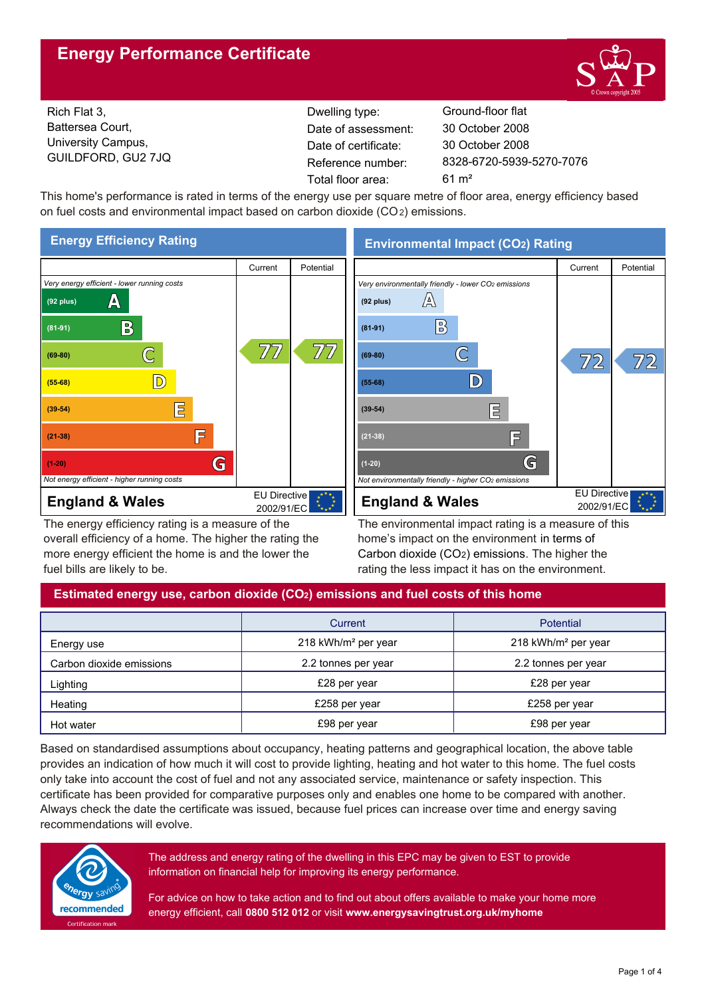## **Energy Performance Certificate**



Rich Flat 3, Battersea Court, University Campus, GUILDFORD, GU2 7JQ

Dwelling type: Ground-floor flat Date of certificate: Total floor area: 61 m² Date of assessment:

8328-6720-5939-5270-7076 30 October 2008 30 October 2008

This home's performance is rated in terms of the energy use per square metre of floor area, energy efficiency based on fuel costs and environmental impact based on carbon dioxide (CO2) emissions.



The energy efficiency rating is a measure of the overall efficiency of a home. The higher the rating the more energy efficient the home is and the lower the fuel bills are likely to be.

**Environmental Impact (CO2) Rating**



The environmental impact rating is a measure of this home's impact on the environment in terms of Carbon dioxide (CO2) emissions. The higher the rating the less impact it has on the environment.

## **Estimated energy use, carbon dioxide (CO2) emissions and fuel costs of this home**

|                          | Current                         | <b>Potential</b>                |  |
|--------------------------|---------------------------------|---------------------------------|--|
| Energy use               | 218 kWh/m <sup>2</sup> per year | 218 kWh/m <sup>2</sup> per year |  |
| Carbon dioxide emissions | 2.2 tonnes per year             | 2.2 tonnes per year             |  |
| Lighting                 | £28 per year                    | £28 per year                    |  |
| Heating                  | £258 per year                   | £258 per year                   |  |
| Hot water                | £98 per year                    | £98 per year                    |  |

Based on standardised assumptions about occupancy, heating patterns and geographical location, the above table provides an indication of how much it will cost to provide lighting, heating and hot water to this home. The fuel costs only take into account the cost of fuel and not any associated service, maintenance or safety inspection. This certificate has been provided for comparative purposes only and enables one home to be compared with another. Always check the date the certificate was issued, because fuel prices can increase over time and energy saving recommendations will evolve.



The address and energy rating of the dwelling in this EPC may be given to EST to provide information on financial help for improving its energy performance.

For advice on how to take action and to find out about offers available to make your home more energy efficient, call **0800 512 012** or visit **www.energysavingtrust.org.uk/myhome**

Page 1 of 4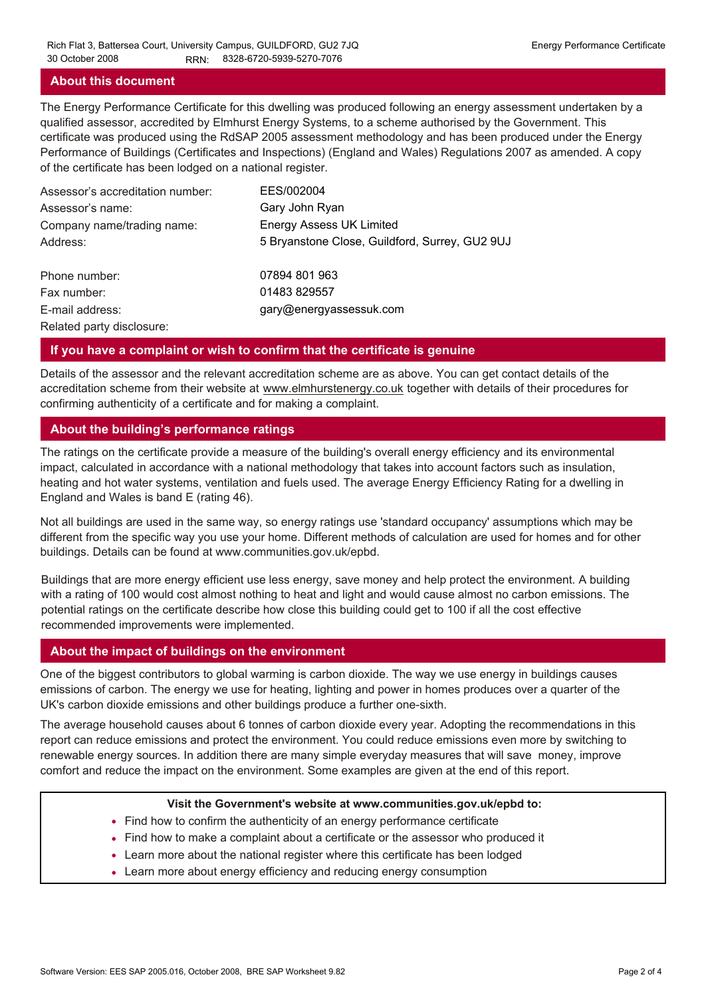#### **About this document**

The Energy Performance Certificate for this dwelling was produced following an energy assessment undertaken by a qualified assessor, accredited by Elmhurst Energy Systems, to a scheme authorised by the Government. This certificate was produced using the RdSAP 2005 assessment methodology and has been produced under the Energy Performance of Buildings (Certificates and Inspections) (England and Wales) Regulations 2007 as amended. A copy of the certificate has been lodged on a national register.

| Assessor's accreditation number: | EES/002004                                     |
|----------------------------------|------------------------------------------------|
| Assessor's name:                 | Gary John Ryan                                 |
| Company name/trading name:       | <b>Energy Assess UK Limited</b>                |
| Address:                         | 5 Bryanstone Close, Guildford, Surrey, GU2 9UJ |
| Phone number:                    | 07894 801 963                                  |
| Fax number:                      | 01483 829557                                   |
| E-mail address:                  | gary@energyassessuk.com                        |
| Related party disclosure:        |                                                |

#### **If you have a complaint or wish to confirm that the certificate is genuine**

Details of the assessor and the relevant accreditation scheme are as above. You can get contact details of the accreditation scheme from their website at www.elmhurstenergy.co.uk together with details of their procedures for confirming authenticity of a certificate and for making a complaint.

#### **About the building's performance ratings**

The ratings on the certificate provide a measure of the building's overall energy efficiency and its environmental impact, calculated in accordance with a national methodology that takes into account factors such as insulation, heating and hot water systems, ventilation and fuels used. The average Energy Efficiency Rating for a dwelling in England and Wales is band E (rating 46).

Not all buildings are used in the same way, so energy ratings use 'standard occupancy' assumptions which may be different from the specific way you use your home. Different methods of calculation are used for homes and for other buildings. Details can be found at www.communities.gov.uk/epbd.

Buildings that are more energy efficient use less energy, save money and help protect the environment. A building with a rating of 100 would cost almost nothing to heat and light and would cause almost no carbon emissions. The potential ratings on the certificate describe how close this building could get to 100 if all the cost effective recommended improvements were implemented.

#### **About the impact of buildings on the environment**

One of the biggest contributors to global warming is carbon dioxide. The way we use energy in buildings causes emissions of carbon. The energy we use for heating, lighting and power in homes produces over a quarter of the UK's carbon dioxide emissions and other buildings produce a further one-sixth.

The average household causes about 6 tonnes of carbon dioxide every year. Adopting the recommendations in this report can reduce emissions and protect the environment. You could reduce emissions even more by switching to renewable energy sources. In addition there are many simple everyday measures that will save money, improve comfort and reduce the impact on the environment. Some examples are given at the end of this report.

#### **Visit the Government's website at www.communities.gov.uk/epbd to:**

- Find how to confirm the authenticity of an energy performance certificate
- Find how to make a complaint about a certificate or the assessor who produced it •
- Learn more about the national register where this certificate has been lodged •
- Learn more about energy efficiency and reducing energy consumption •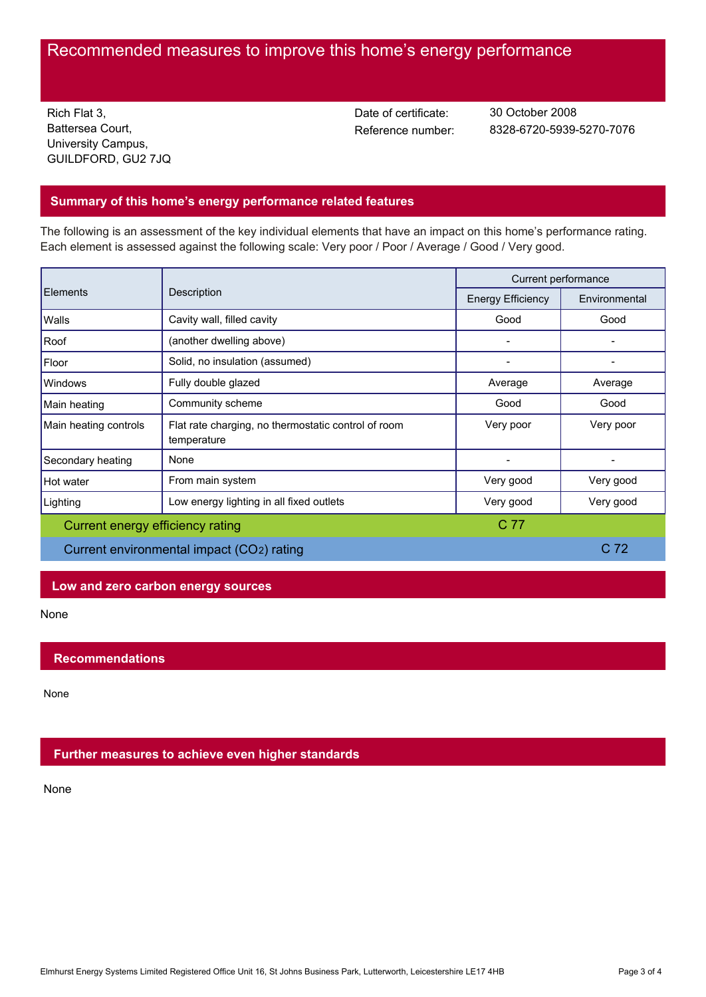# Recommended measures to improve this home's energy performance

Rich Flat 3, Battersea Court, University Campus, GUILDFORD, GU2 7JQ Date of certificate:

Reference number: 8328-6720-5939-5270-7076 30 October 2008

## **Summary of this home's energy performance related features**

The following is an assessment of the key individual elements that have an impact on this home's performance rating. Each element is assessed against the following scale: Very poor / Poor / Average / Good / Very good.

| <b>Elements</b>                           | Description                                                        | Current performance      |                 |
|-------------------------------------------|--------------------------------------------------------------------|--------------------------|-----------------|
|                                           |                                                                    | <b>Energy Efficiency</b> | Environmental   |
| Walls                                     | Cavity wall, filled cavity                                         | Good                     | Good            |
| Roof                                      | (another dwelling above)                                           |                          |                 |
| Floor                                     | Solid, no insulation (assumed)                                     |                          |                 |
| Windows                                   | Fully double glazed                                                | Average                  | Average         |
| Main heating                              | Community scheme                                                   | Good                     | Good            |
| Main heating controls                     | Flat rate charging, no thermostatic control of room<br>temperature | Very poor                | Very poor       |
| Secondary heating                         | None                                                               |                          |                 |
| Hot water                                 | From main system                                                   | Very good                | Very good       |
| Lighting                                  | Low energy lighting in all fixed outlets                           | Very good                | Very good       |
| C 77<br>Current energy efficiency rating  |                                                                    |                          |                 |
| Current environmental impact (CO2) rating |                                                                    |                          | C <sub>72</sub> |

## **Low and zero carbon energy sources**

None

## **Recommendations**

None

## **Further measures to achieve even higher standards**

None